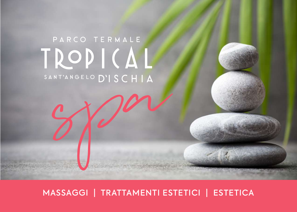# PARCO TERMALE TROPICAL SANT'ANGELO D'ISCHIA

spa

MASSAGGI | TRATTAMENTI ESTETICI | ESTETICA